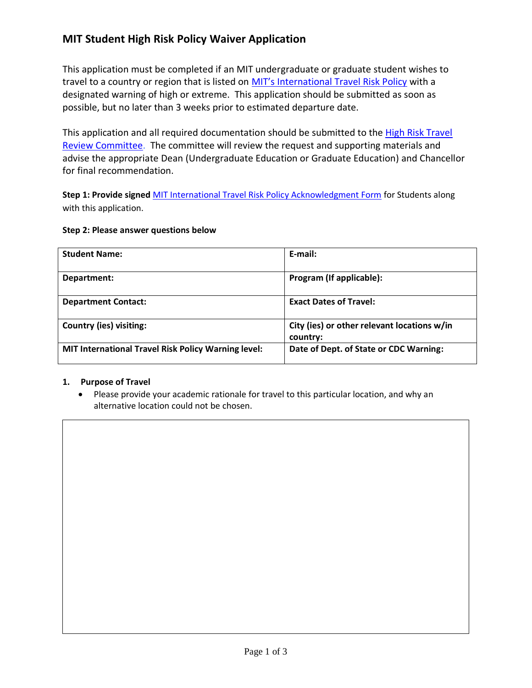# **MIT Student High Risk Policy Waiver Application**

This application must be completed if an MIT undergraduate or graduate student wishes to travel to a country or region that is listed on MIT's [International Travel Risk Policy](http://insurance.mit.edu/services/international-travel/mit-international-travel-risk-policy) with a designated warning of high or extreme. This application should be submitted as soon as possible, but no later than 3 weeks prior to estimated departure date.

This application and all required documentation should be submitted to the High Risk Travel [Review Committee.](mailto:high-risk-travel-comm@mit.edu?subject=Student%20High%20Risk%20Travel%20-%20Application%20for%20Waiver%20) The committee will review the request and supporting materials and advise the appropriate Dean (Undergraduate Education or Graduate Education) and Chancellor for final recommendation.

**Step 1: Provide signed** [MIT International Travel Risk Policy Acknowledgment Form](http://insurance.mit.edu/sites/default/files/images/MIT%20Student%20Travel%20Risk%20Acknowledgement%20Form%20Approved%2020170404_0.pdf) for Students along with this application.

#### **Step 2: Please answer questions below**

| <b>Student Name:</b>                                       | E-mail:                                                 |
|------------------------------------------------------------|---------------------------------------------------------|
| Department:                                                | Program (If applicable):                                |
| <b>Department Contact:</b>                                 | <b>Exact Dates of Travel:</b>                           |
| <b>Country (ies) visiting:</b>                             | City (ies) or other relevant locations w/in<br>country: |
| <b>MIT International Travel Risk Policy Warning level:</b> | Date of Dept. of State or CDC Warning:                  |

#### **1. Purpose of Travel**

• Please provide your academic rationale for travel to this particular location, and why an alternative location could not be chosen.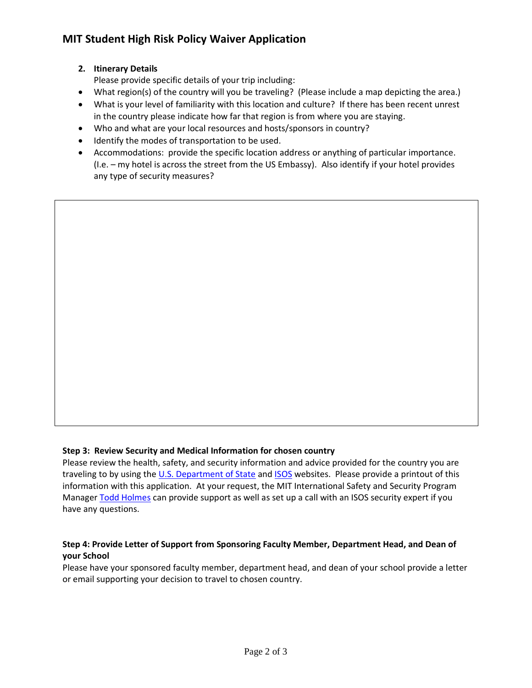# **MIT Student High Risk Policy Waiver Application**

### **2. Itinerary Details**

Please provide specific details of your trip including:

- What region(s) of the country will you be traveling? (Please include a map depicting the area.)
- What is your level of familiarity with this location and culture? If there has been recent unrest in the country please indicate how far that region is from where you are staying.
- Who and what are your local resources and hosts/sponsors in country?
- Identify the modes of transportation to be used.
- Accommodations: provide the specific location address or anything of particular importance. (I.e. – my hotel is across the street from the US Embassy). Also identify if your hotel provides any type of security measures?

#### **Step 3: Review Security and Medical Information for chosen country**

Please review the health, safety, and security information and advice provided for the country you are traveling to by using the [U.S. Department of State](http://www.travel.state.gov/travel/travel_1744.html) and [ISOS](https://www.internationalsos.com/MasterPortal/default.aspx?membnum=11BSGC000066) websites. Please provide a printout of this information with this application. At your request, the MIT International Safety and Security Program Manage[r Todd Holmes](mailto:tholmes@mit.edu) can provide support as well as set up a call with an ISOS security expert if you have any questions.

#### **Step 4: Provide Letter of Support from Sponsoring Faculty Member, Department Head, and Dean of your School**

Please have your sponsored faculty member, department head, and dean of your school provide a letter or email supporting your decision to travel to chosen country.